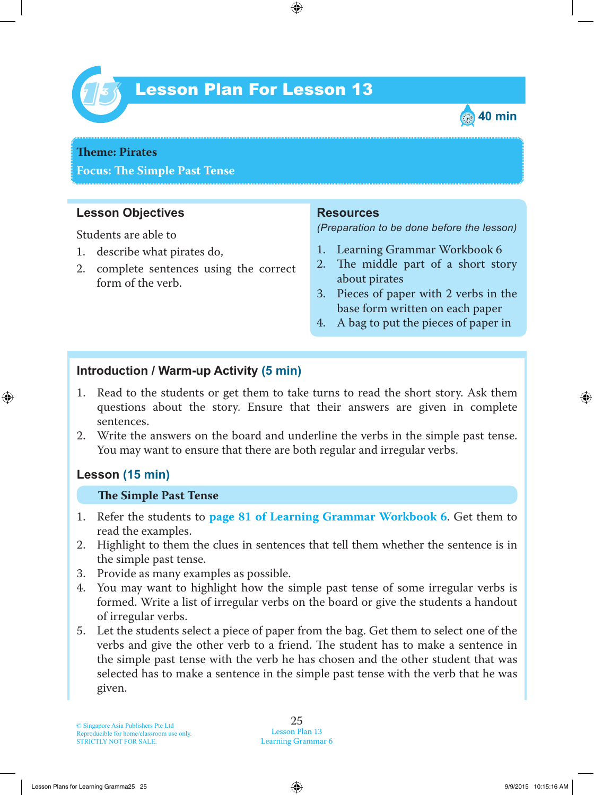

# Lesson Plan For Lesson 13 *13*



# **Theme: Pirates**

**Focus: Te Simple Past Tense**

## **Lesson Objectives**

Students are able to

- 1. describe what pirates do,
- 2. complete sentences using the correct form of the verb.

#### **Resources**

*(Preparation to be done before the lesson)*

- 1. Learning Grammar Workbook 6
- 2. The middle part of a short story about pirates
- 3. Pieces of paper with 2 verbs in the base form written on each paper
- 4. A bag to put the pieces of paper in

## **Introduction / Warm-up Activity (5 min)**

- 1. Read to the students or get them to take turns to read the short story. Ask them questions about the story. Ensure that their answers are given in complete sentences.
- 2. Write the answers on the board and underline the verbs in the simple past tense. You may want to ensure that there are both regular and irregular verbs.

## **Lesson (15 min)**

#### **Te Simple Past Tense**

- 1. Refer the students to **page 81 of Learning Grammar Workbook 6** . Get them to read the examples.
- 2. Highlight to them the clues in sentences that tell them whether the sentence is in the simple past tense.
- 3. Provide as many examples as possible.
- 4. You may want to highlight how the simple past tense of some irregular verbs is formed. Write a list of irregular verbs on the board or give the students a handout of irregular verbs.
- 5. Let the students select a piece of paper from the bag. Get them to select one of the verbs and give the other verb to a friend. The student has to make a sentence in the simple past tense with the verb he has chosen and the other student that was selected has to make a sentence in the simple past tense with the verb that he was given.